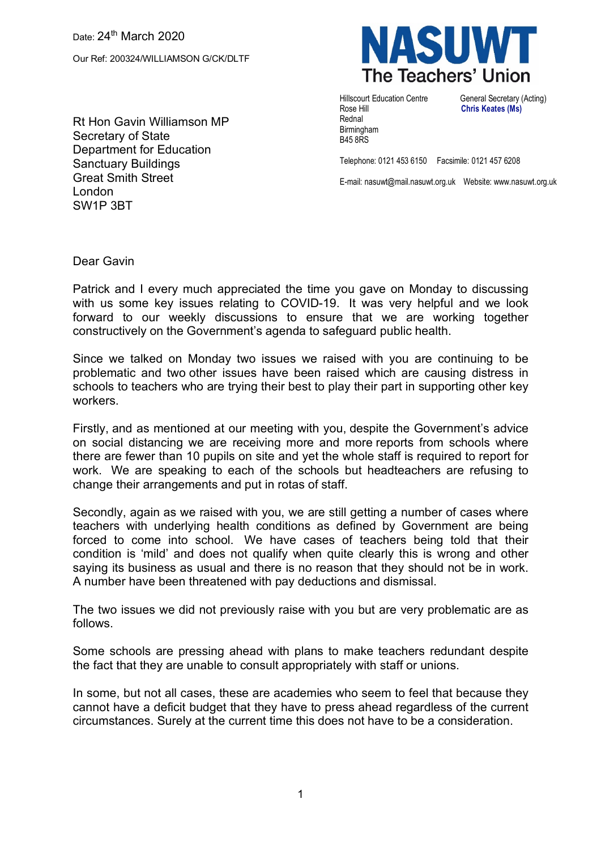Our Ref: 200324/WILLIAMSON G/CK/DLTF

Rt Hon Gavin Williamson MP Secretary of State Department for Education Sanctuary Buildings Great Smith Street London SW1P 3BT



Rose Hill **Chris Keates (Ms)** Rednal Birmingham B45 8RS

Hillscourt Education Centre General Secretary (Acting)

Telephone: 0121 453 6150 Facsimile: 0121 457 6208

E-mail: nasuwt@mail.nasuwt.org.uk Website: www.nasuwt.org.uk

Dear Gavin

Patrick and I every much appreciated the time you gave on Monday to discussing with us some key issues relating to COVID-19. It was very helpful and we look forward to our weekly discussions to ensure that we are working together constructively on the Government's agenda to safeguard public health.

Since we talked on Monday two issues we raised with you are continuing to be problematic and two other issues have been raised which are causing distress in schools to teachers who are trying their best to play their part in supporting other key workers.

Firstly, and as mentioned at our meeting with you, despite the Government's advice on social distancing we are receiving more and more reports from schools where there are fewer than 10 pupils on site and yet the whole staff is required to report for work. We are speaking to each of the schools but headteachers are refusing to change their arrangements and put in rotas of staff.

Secondly, again as we raised with you, we are still getting a number of cases where teachers with underlying health conditions as defined by Government are being forced to come into school. We have cases of teachers being told that their condition is 'mild' and does not qualify when quite clearly this is wrong and other saying its business as usual and there is no reason that they should not be in work. A number have been threatened with pay deductions and dismissal.

The two issues we did not previously raise with you but are very problematic are as follows.

Some schools are pressing ahead with plans to make teachers redundant despite the fact that they are unable to consult appropriately with staff or unions.

In some, but not all cases, these are academies who seem to feel that because they cannot have a deficit budget that they have to press ahead regardless of the current circumstances. Surely at the current time this does not have to be a consideration.